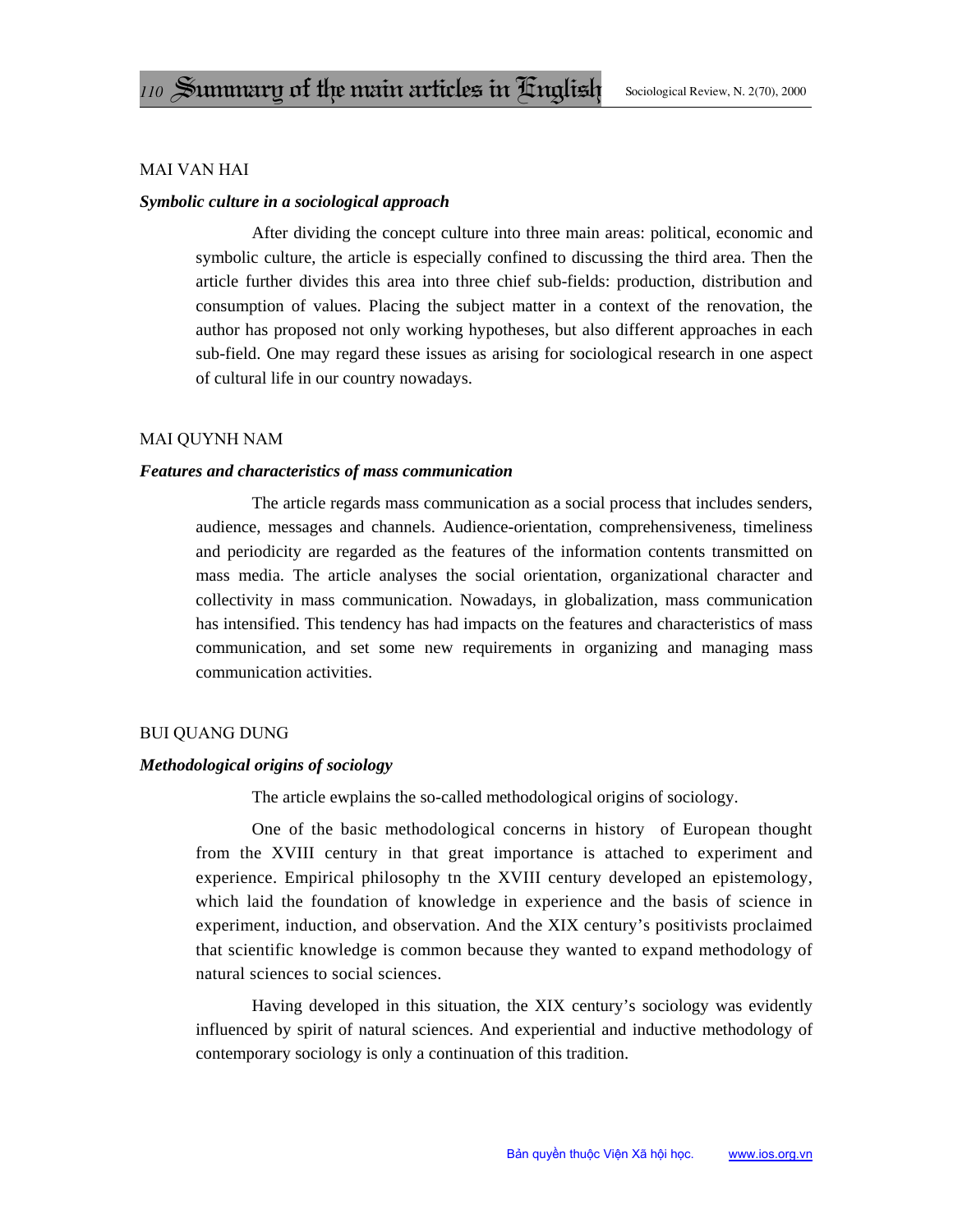# **MAI VAN HAI**

# Symbolic culture in a sociological approach

After dividing the concept culture into three main areas: political, economic and symbolic culture, the article is especially confined to discussing the third area. Then the article further divides this area into three chief sub-fields: production, distribution and consumption of values. Placing the subject matter in a context of the renovation, the author has proposed not only working hypotheses, but also different approaches in each sub-field. One may regard these issues as arising for sociological research in one aspect of cultural life in our country nowadays.

## **MAI QUYNH NAM**

## **Features and characteristics of mass communication**

The article regards mass communication as a social process that includes senders, audience, messages and channels. Audience-orientation, comprehensiveness, timeliness and periodicity are regarded as the features of the information contents transmitted on mass media. The article analyses the social orientation, organizational character and collectivity in mass communication. Nowadays, in globalization, mass communication has intensified. This tendency has had impacts on the features and characteristics of mass communication, and set some new requirements in organizing and managing mass communication activities.

## **BUI QUANG DUNG**

# Methodological origins of sociology

The article ewplains the so-called methodological origins of sociology.

One of the basic methodological concerns in history of European thought from the XVIII century in that great importance is attached to experiment and experience. Empirical philosophy tn the XVIII century developed an epistemology, which laid the foundation of knowledge in experience and the basis of science in experiment, induction, and observation. And the XIX century's positivists proclaimed that scientific knowledge is common because they wanted to expand methodology of natural sciences to social sciences.

Having developed in this situation, the XIX century's sociology was evidently influenced by spirit of natural sciences. And experiential and inductive methodology of contemporary sociology is only a continuation of this tradition.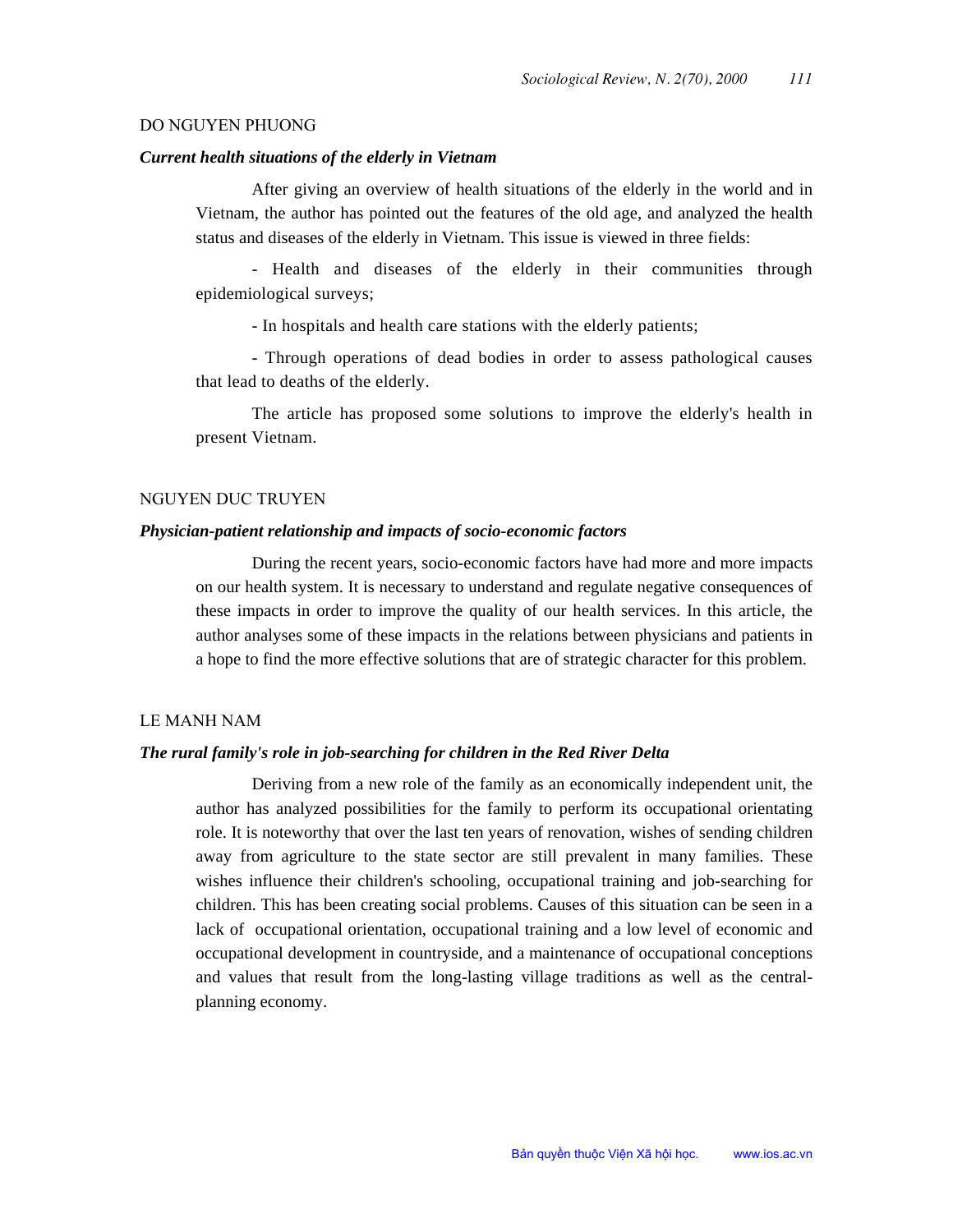#### DO NGUYEN PHUONG

## Current health situations of the elderly in Vietnam

After giving an overview of health situations of the elderly in the world and in Vietnam, the author has pointed out the features of the old age, and analyzed the health status and diseases of the elderly in Vietnam. This issue is viewed in three fields:

- Health and diseases of the elderly in their communities through epidemiological surveys;

- In hospitals and health care stations with the elderly patients;

- Through operations of dead bodies in order to assess pathological causes that lead to deaths of the elderly.

The article has proposed some solutions to improve the elderly's health in present Vietnam.

# **NGUYEN DUC TRUYEN**

# Physician-patient relationship and impacts of socio-economic factors

During the recent years, socio-economic factors have had more and more impacts on our health system. It is necessary to understand and regulate negative consequences of these impacts in order to improve the quality of our health services. In this article, the author analyses some of these impacts in the relations between physicians and patients in a hope to find the more effective solutions that are of strategic character for this problem.

# **LE MANH NAM**

## The rural family's role in job-searching for children in the Red River Delta

Deriving from a new role of the family as an economically independent unit, the author has analyzed possibilities for the family to perform its occupational orientating role. It is noteworthy that over the last ten years of renovation, wishes of sending children away from agriculture to the state sector are still prevalent in many families. These wishes influence their children's schooling, occupational training and job-searching for children. This has been creating social problems. Causes of this situation can be seen in a lack of occupational orientation, occupational training and a low level of economic and occupational development in countryside, and a maintenance of occupational conceptions and values that result from the long-lasting village traditions as well as the centralplanning economy.